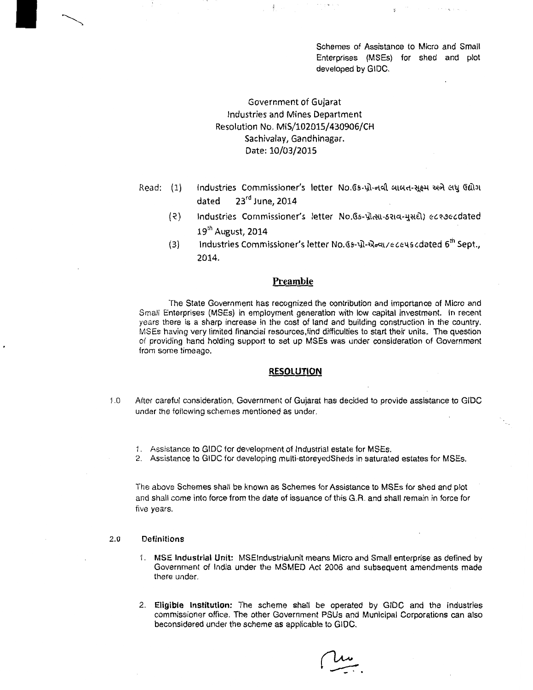Schemes of Assistance to Micro and Small Enterprises (MSEs) for shed and plot developed by GIDC.

# Government of Gujarat Industries and Mines Department Resolution No. MIS/102015/430906/CH Sachivalay, Gandhinagar. Date: 10/03/2015

- Read: (1} Industries Commissioner's letter No. Gs-પ્રો-નવી બાબત-સક્ષ્મ અને લધુ Gilગ dated 23<sup>rd</sup> June, 2014
	- Industries Commissioner's letter No. Gs-प्रोत्सा-oराव-मुसहो) ectoecdated  $(5)$ 19th August, 2014
	- $(3)$ Industries Commissioner's letter No. 65-प्रो-सेन्या/eccuscdated 6<sup>th</sup> Sept., 2014.

# **Preamble**

The State Government has recognized the contribution and importance of Micro and Small Enterprises (MSEs) in employment generation with low capital investment. In recent years there is a sharp increase in the cost of land and building construction in the country. MSEs having very limited financial resources,find difficulties to start their units. The question of providing hand holding support to set up MSEs was under consideration of Government from some timeago.

## **RESOLUTION**

- I .0 After careful consideration, Government of Gujarat has decided to provide assistance to GIDC under the following schemes mentioned as under.
	- I. Assistance to GIDC for development of Industrial estate for MSEs.
	- 2. Assistance to GIDC for developing multi-storeyedSheds in saturated estates for MSEs.

The above Schemes shall be known as Schemes for Assistance to MSEs for shed and plot and shall come into force from the date of issuance of this G.R. and shall remain in force for five years.

## 2.0 Definitions

- I. MSE Industrial Unit: MSEindustrialunit means Micro and Small enterprise as defined by Government of India under the MSMED Act 2006 and subsequent amendments made there under.
- 2. Eligible Institution: The scheme shall be operated by GIDC and the Industries commissioner office. The other Government PSUs and Municipal Corporations can also beconsidered under the scheme as applicable to GIDC.

 $\overline{\phantom{a}}$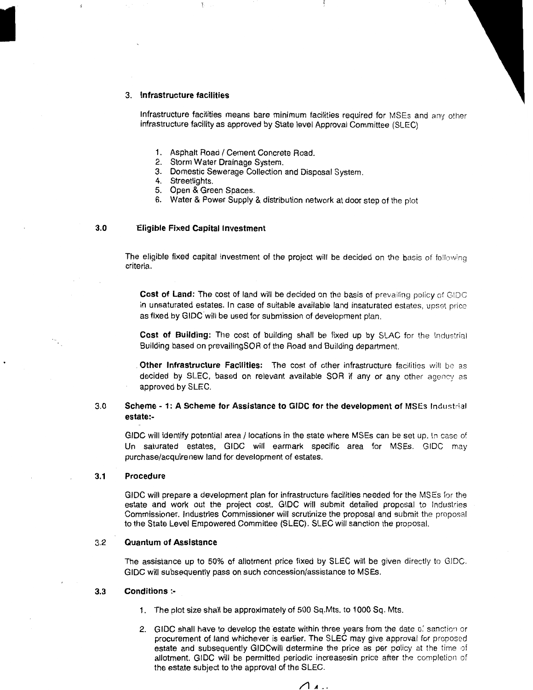#### 3. **Infrastructure facilities**

ś

Infrastructure facilities means bare minimum facilities required for MSEs and any other infrastructure facility as approved by State level Approval Committee (SLEC)

- 1. Asphalt Road / Cement Concrete Road.
- 2. Storm Water Drainage System.
- 3. Domestic Sewerage Collection and Disposal System.
- 4. Streetlights.
- 5. Open & Green Spaces.
- 6. Water & Power Supply & distribution network at door step of the plot

## **3.0 'Eligible Fixed Capital Investment**

The eligible fixed capital investment of the project will be decided on the basis of following criteria.

**Cost of Land:** The cost of land will be decided on the basis of prevailing policy of GIDC in unsaturated estates. In case of suitable available land insaturated estates, upset price as fixed by GIDC will be used for submission of development plan.

**Cost of Building:** The cost of building shall be fixed up by SLAC for the Industrial Building based on prevailingSOR of the Road and Building department.

**Other Infrastructure Facilities:** The cost of other infrastructure facilities will be as decided by SLEC, based on relevant available SOR if any or any other agency as approved by SLEC.

# 3.0 **Scheme- 1: A Scheme for Assistance to GIDC for the development** of MSEs Industrial **estate:-**

GIDC will identify potential area / locations in the state where MSEs can be set up. In case of Un saturated estates, GIDC will earmark specific area for MSEs. GIDC may purchase/acquirenew land for development of estates.

#### **3.1 Procedure**

GIDC will prepare a development plan for infrastructure facilities needed for the MSEs for the estate and work out the project cost. GIDC will submit detailed proposal to Industries Commissioner. Industries Commissioner will scrutinize the proposal and submit the proposal to the State Level Empowered Committee (SLEC). SLEC will sanction the proposal.

## 3.2 **Quantum of Assistance**

The assistance up to 50% of allotment price fixed by SLEC will be given directly to GIDC. GIDC will subsequently pass on such concession/assistance to MSEs.

#### **3.3 Conditions** :-

- 1. The plot size shall be approximately of 500 Sq.Mts. to 1000 Sq. Mts.
- 2. GIDC shall have to develop the estate within three years from the date *o:* sanction or procurement of land whichever is earlier. The SLEC may give approval for proposed estate and subsequently GIDCwill determine the price as per policy at the time of allotment. GIDC will be permitted periodic increasesin price after the completion of the estate subject to the approval of the SLEC.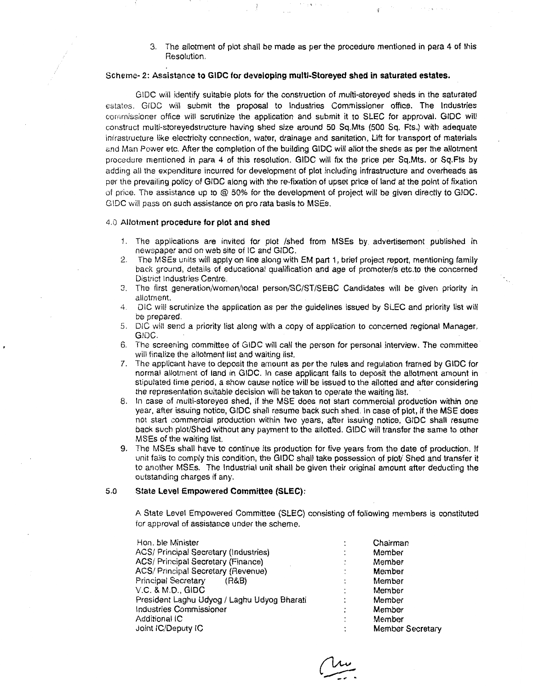3. The allotment of plot shall be made as per the procedure mentioned in para 4 of this Resolution.

## Scheme- 2: Assistance to GIDC for developing multi-Storeyed shed in saturated estates.

GIDC will identify suitable plots *tot* the construction of multi-storeyed sheds in the saturated estates. GIDC will submit the proposal *to* Industries Commissioner office. The Industries cornrnissioner office will scrutinize the application and submit it to SLEC for approval. GIDC will construct multi-storeyedstructure having shed size around 50 Sq.Mts (500 Sq. Fts.) with adequate infrastructure like electricity connection, water, drainage and sanitation, Lift for transport of materials and Man Power etc. After the completion of the building GIDC will allot the sheds as per the allotment procedure mentioned in para 4 of this resolution. GIDC will fix the price per Sq.Mts. or Sq.Fts by adding all the expenditure incurred for development of plot including infrastructure and overheads as per the prevailing policy of GIDC along with the re-fixation of upset price of land at the point of fixation of price. The assistance up to @ 50% for the development of project will be given directly to GIDC. GIDC will pass on such assistance on pro rata basis to MSEs.

## 4.0 Allotment procedure for plot and shed

- 1. The applications are invited for plot /shed from MSEs by advertisement published in newspaper and on web site of IC and GIDC.
- 2. The MSEs units will apply on line along with EM part 1, brief project report, mentioning family back ground, details of educational qualification and age of promoter/s etc.to the concerned District Industries Centre.
- 3. The first generation/women/local person/SC/ST/SEBC Candidates will be given priority in allotment.
- 4. DIC will scrutinize the application as per the guidelines issued by SLEC and priority list will be prepared.
- 5. DIG will send a priority list along with a copy of application to concerned regional Manager, GIDC.
- 6. The screening committee of GIDC will call the person for personal interview. The committee will finalize the allotment list and waiting list.
- 7. The applicant have to deposit the amount as per the rules and regulation framed by GIDC for normal allotment of land in GIDC. In case applicant fails to deposit the allotment amount in stipulated time period, a show cause notice will be issued to the allotted and after considering the representation suitable decision will be taken to operate the waiting list.
- 8. In case of multi-storeyed shed, if the MSE does not start commercial production within one year, after issuing notice, GIDC shall resume back such shed. In case of plot, if the MSE does not start commercial production within two years, after issuing notice, GIDC shall resume back such plot/Shed without any payment to the allotted. GIDC will transfer the same to other MSEs of the waiting list.
- 9. The MSEs shall have to continue its production for five years from the date of production. If unit fails to comply this condition, the GIDC shall take possession of plot/ Shed and transfer it to another MSEs. The Industrial unit shall be given their original amount after deducting the outstanding charges if any.

#### 5.0 State Level Empowered Committee (SLEC):

A State Level Empowered Committee (SLEC) consisting of following members is constituted for approval of assistance under the scheme.

| Hon, ble Minister                           |                     | Chairman                |
|---------------------------------------------|---------------------|-------------------------|
| ACS/ Principal Secretary (Industries)       |                     | Member                  |
| ACS/ Principal Secretary (Finance)          |                     | Member                  |
| ACS/ Principal Secretary (Revenue)          | ٠                   | Member                  |
| <b>Principal Secretary</b><br>(R&B)         | ٠<br>$\blacksquare$ | Member                  |
| V.C. & M.D., GIDC                           | $\cdot$             | Member                  |
| President Laghu Udyog / Laghu Udyog Bharati |                     | Member                  |
| Industries Commissioner                     | ٠                   | Member                  |
| Additional IC                               | ۰                   | Member                  |
| Joint IC/Deputy IC                          | ٠                   | <b>Member Secretary</b> |
|                                             |                     |                         |